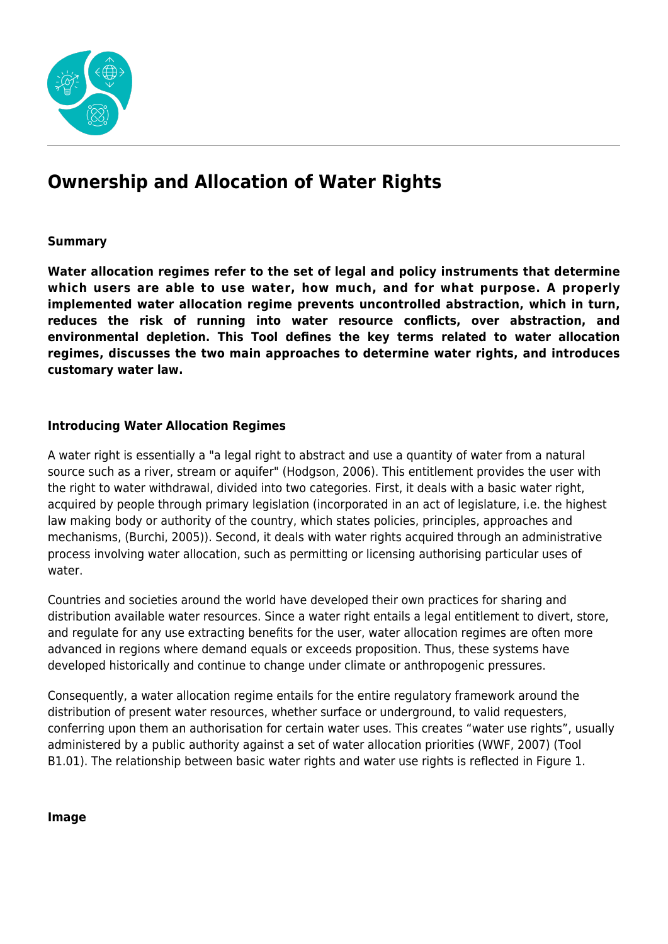

# **Ownership and Allocation of Water Rights**

## **Summary**

**Water allocation regimes refer to the set of legal and policy instruments that determine which users are able to use water, how much, and for what purpose. A properly implemented water allocation regime prevents uncontrolled abstraction, which in turn, reduces the risk of running into water resource conflicts, over abstraction, and environmental depletion. This Tool defines the key terms related to water allocation regimes, discusses the two main approaches to determine water rights, and introduces customary water law.**

## **Introducing Water Allocation Regimes**

A water right is essentially a "a legal right to abstract and use a quantity of water from a natural source such as a river, stream or aquifer" (Hodgson, 2006). This entitlement provides the user with the right to water withdrawal, divided into two categories. First, it deals with a basic water right, acquired by people through primary legislation (incorporated in an act of legislature, i.e. the highest law making body or authority of the country, which states policies, principles, approaches and mechanisms, (Burchi, 2005)). Second, it deals with water rights acquired through an administrative process involving water allocation, such as permitting or licensing authorising particular uses of water.

Countries and societies around the world have developed their own practices for sharing and distribution available water resources. Since a water right entails a legal entitlement to divert, store, and regulate for any use extracting benefits for the user, water allocation regimes are often more advanced in regions where demand equals or exceeds proposition. Thus, these systems have developed historically and continue to change under climate or anthropogenic pressures.

Consequently, a water allocation regime entails for the entire regulatory framework around the distribution of present water resources, whether surface or underground, to valid requesters, conferring upon them an authorisation for certain water uses. This creates "water use rights", usually administered by a public authority against a set of water allocation priorities (WWF, 2007) (Tool B1.01). The relationship between basic water rights and water use rights is reflected in Figure 1.

#### **Image**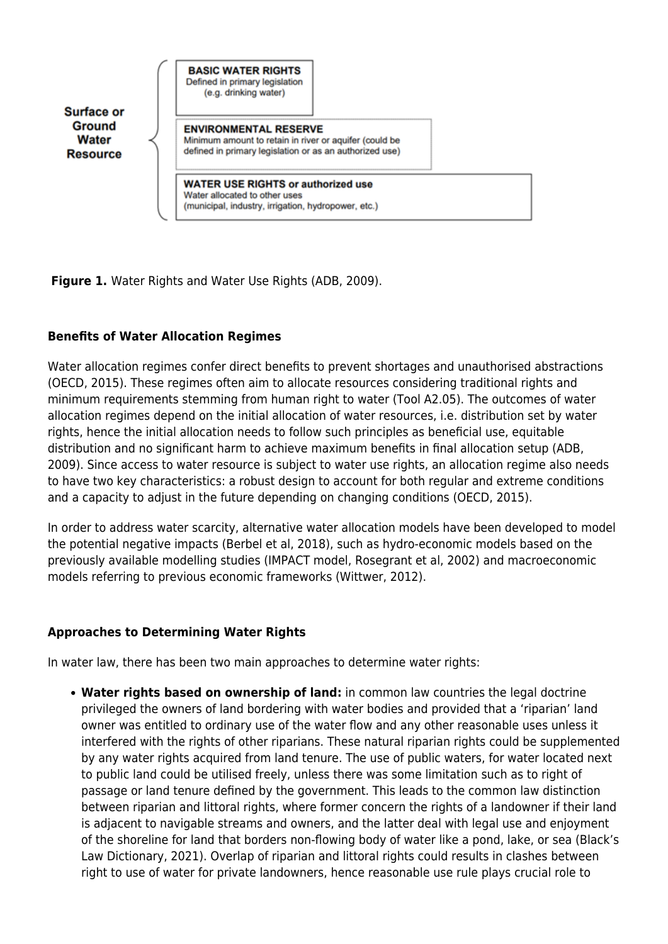| Surface or                         | <b>BASIC WATER RIGHTS</b><br>Defined in primary legislation<br>(e.g. drinking water)                                                              |  |
|------------------------------------|---------------------------------------------------------------------------------------------------------------------------------------------------|--|
| Ground<br>Water<br><b>Resource</b> | <b>ENVIRONMENTAL RESERVE</b><br>Minimum amount to retain in river or aquifer (could be<br>defined in primary legislation or as an authorized use) |  |
|                                    | <b>WATER USE RIGHTS or authorized use</b><br>Water allocated to other uses<br>(municipal, industry, irrigation, hydropower, etc.)                 |  |

**Figure 1.** Water Rights and Water Use Rights (ADB, 2009).

# **Benefits of Water Allocation Regimes**

Water allocation regimes confer direct benefits to prevent shortages and unauthorised abstractions (OECD, 2015). These regimes often aim to allocate resources considering traditional rights and minimum requirements stemming from human right to water (Tool A2.05). The outcomes of water allocation regimes depend on the initial allocation of water resources, i.e. distribution set by water rights, hence the initial allocation needs to follow such principles as beneficial use, equitable distribution and no significant harm to achieve maximum benefits in final allocation setup (ADB, 2009). Since access to water resource is subject to water use rights, an allocation regime also needs to have two key characteristics: a robust design to account for both regular and extreme conditions and a capacity to adjust in the future depending on changing conditions (OECD, 2015).

In order to address water scarcity, alternative water allocation models have been developed to model the potential negative impacts (Berbel et al, 2018), such as hydro-economic models based on the previously available modelling studies (IMPACT model, Rosegrant et al, 2002) and macroeconomic models referring to previous economic frameworks (Wittwer, 2012).

## **Approaches to Determining Water Rights**

In water law, there has been two main approaches to determine water rights:

**Water rights based on ownership of land:** in common law countries the legal doctrine privileged the owners of land bordering with water bodies and provided that a 'riparian' land owner was entitled to ordinary use of the water flow and any other reasonable uses unless it interfered with the rights of other riparians. These natural riparian rights could be supplemented by any water rights acquired from land tenure. The use of public waters, for water located next to public land could be utilised freely, unless there was some limitation such as to right of passage or land tenure defined by the government. This leads to the common law distinction between riparian and littoral rights, where former concern the rights of a landowner if their land is adjacent to navigable streams and owners, and the latter deal with legal use and enjoyment of the shoreline for land that borders non-flowing body of water like a pond, lake, or sea (Black's Law Dictionary, 2021). Overlap of riparian and littoral rights could results in clashes between right to use of water for private landowners, hence reasonable use rule plays crucial role to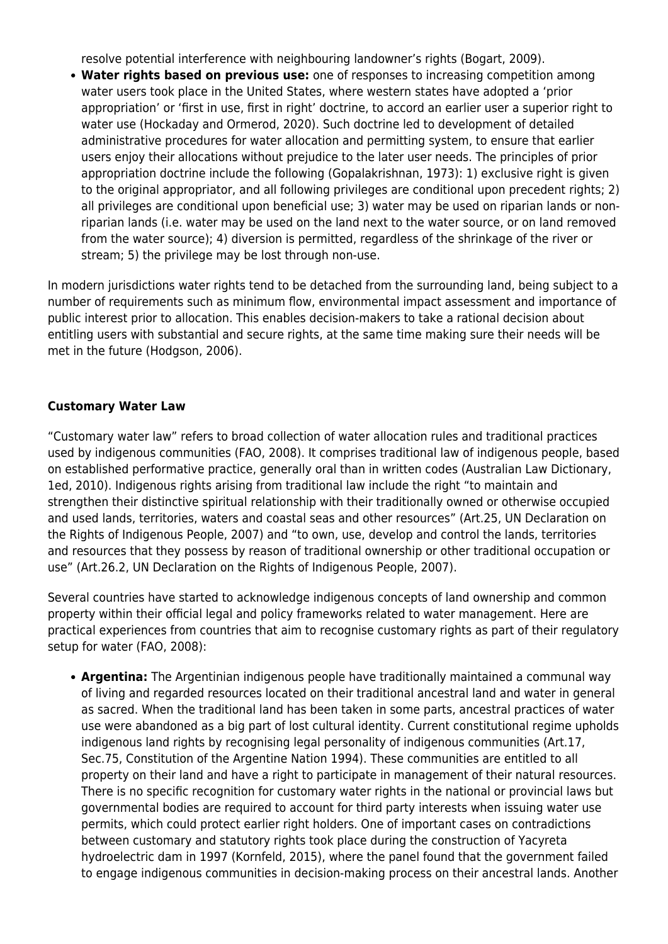resolve potential interference with neighbouring landowner's rights (Bogart, 2009).

**Water rights based on previous use:** one of responses to increasing competition among water users took place in the United States, where western states have adopted a 'prior appropriation' or 'first in use, first in right' doctrine, to accord an earlier user a superior right to water use (Hockaday and Ormerod, 2020). Such doctrine led to development of detailed administrative procedures for water allocation and permitting system, to ensure that earlier users enjoy their allocations without prejudice to the later user needs. The principles of prior appropriation doctrine include the following (Gopalakrishnan, 1973): 1) exclusive right is given to the original appropriator, and all following privileges are conditional upon precedent rights; 2) all privileges are conditional upon beneficial use; 3) water may be used on riparian lands or nonriparian lands (i.e. water may be used on the land next to the water source, or on land removed from the water source); 4) diversion is permitted, regardless of the shrinkage of the river or stream; 5) the privilege may be lost through non-use.

In modern jurisdictions water rights tend to be detached from the surrounding land, being subject to a number of requirements such as minimum flow, environmental impact assessment and importance of public interest prior to allocation. This enables decision-makers to take a rational decision about entitling users with substantial and secure rights, at the same time making sure their needs will be met in the future (Hodgson, 2006).

## **Customary Water Law**

"Customary water law" refers to broad collection of water allocation rules and traditional practices used by indigenous communities (FAO, 2008). It comprises traditional law of indigenous people, based on established performative practice, generally oral than in written codes (Australian Law Dictionary, 1ed, 2010). Indigenous rights arising from traditional law include the right "to maintain and strengthen their distinctive spiritual relationship with their traditionally owned or otherwise occupied and used lands, territories, waters and coastal seas and other resources" (Art.25, UN Declaration on the Rights of Indigenous People, 2007) and "to own, use, develop and control the lands, territories and resources that they possess by reason of traditional ownership or other traditional occupation or use" (Art.26.2, UN Declaration on the Rights of Indigenous People, 2007).

Several countries have started to acknowledge indigenous concepts of land ownership and common property within their official legal and policy frameworks related to water management. Here are practical experiences from countries that aim to recognise customary rights as part of their regulatory setup for water (FAO, 2008):

**Argentina:** The Argentinian indigenous people have traditionally maintained a communal way of living and regarded resources located on their traditional ancestral land and water in general as sacred. When the traditional land has been taken in some parts, ancestral practices of water use were abandoned as a big part of lost cultural identity. Current constitutional regime upholds indigenous land rights by recognising legal personality of indigenous communities (Art.17, Sec.75, Constitution of the Argentine Nation 1994). These communities are entitled to all property on their land and have a right to participate in management of their natural resources. There is no specific recognition for customary water rights in the national or provincial laws but governmental bodies are required to account for third party interests when issuing water use permits, which could protect earlier right holders. One of important cases on contradictions between customary and statutory rights took place during the construction of Yacyreta hydroelectric dam in 1997 (Kornfeld, 2015), where the panel found that the government failed to engage indigenous communities in decision-making process on their ancestral lands. Another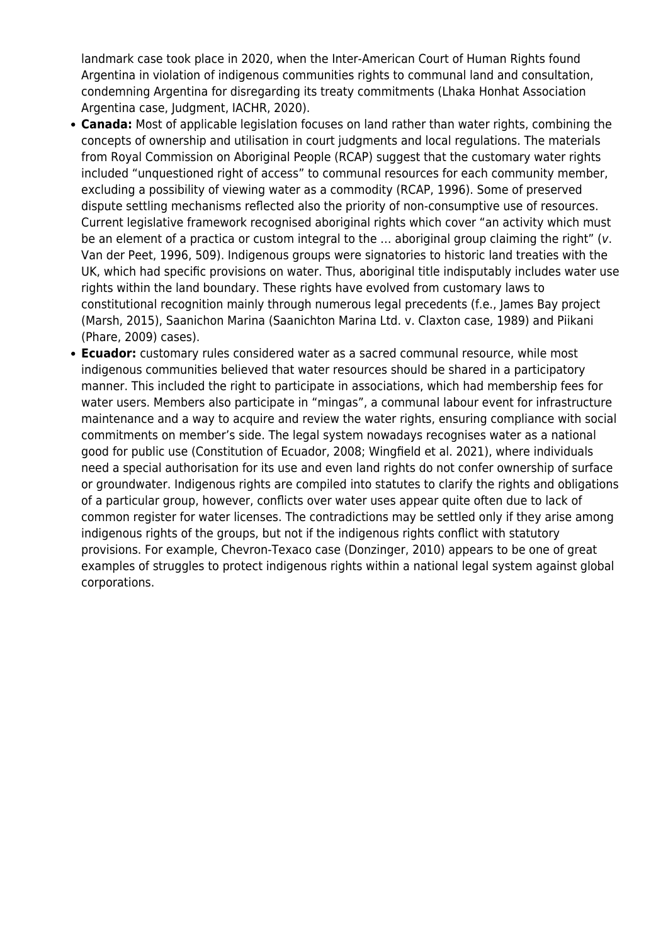landmark case took place in 2020, when the Inter-American Court of Human Rights found Argentina in violation of indigenous communities rights to communal land and consultation, condemning Argentina for disregarding its treaty commitments (Lhaka Honhat Association Argentina case, Judgment, IACHR, 2020).

- **Canada:** Most of applicable legislation focuses on land rather than water rights, combining the concepts of ownership and utilisation in court judgments and local regulations. The materials from Royal Commission on Aboriginal People (RCAP) suggest that the customary water rights included "unquestioned right of access" to communal resources for each community member, excluding a possibility of viewing water as a commodity (RCAP, 1996). Some of preserved dispute settling mechanisms reflected also the priority of non-consumptive use of resources. Current legislative framework recognised aboriginal rights which cover "an activity which must be an element of a practica or custom integral to the ... aboriginal group claiming the right" (v. Van der Peet, 1996, 509). Indigenous groups were signatories to historic land treaties with the UK, which had specific provisions on water. Thus, aboriginal title indisputably includes water use rights within the land boundary. These rights have evolved from customary laws to constitutional recognition mainly through numerous legal precedents (f.e., James Bay project (Marsh, 2015), Saanichon Marina (Saanichton Marina Ltd. v. Claxton case, 1989) and Piikani (Phare, 2009) cases).
- **Ecuador:** customary rules considered water as a sacred communal resource, while most indigenous communities believed that water resources should be shared in a participatory manner. This included the right to participate in associations, which had membership fees for water users. Members also participate in "mingas", a communal labour event for infrastructure maintenance and a way to acquire and review the water rights, ensuring compliance with social commitments on member's side. The legal system nowadays recognises water as a national good for public use (Constitution of Ecuador, 2008; Wingfield et al. 2021), where individuals need a special authorisation for its use and even land rights do not confer ownership of surface or groundwater. Indigenous rights are compiled into statutes to clarify the rights and obligations of a particular group, however, conflicts over water uses appear quite often due to lack of common register for water licenses. The contradictions may be settled only if they arise among indigenous rights of the groups, but not if the indigenous rights conflict with statutory provisions. For example, Chevron-Texaco case (Donzinger, 2010) appears to be one of great examples of struggles to protect indigenous rights within a national legal system against global corporations.